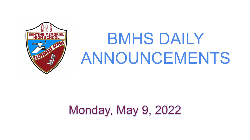

# BMHS DAILY ANNOUNCEMENTS

# Monday, May 9, 2022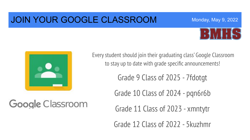#### JOIN YOUR GOOGLE CLASSROOM



Monday, May 9, 2022



Google Classroom

Every student should join their graduating class' Google Classroom to stay up to date with grade specific announcements!

Grade 9 Class of 2025 - 7fdotgt

Grade 10 Class of 2024 - pqn6r6b

Grade 11 Class of 2023 - xmntytr

Grade 12 Class of 2022 - 5kuzhmr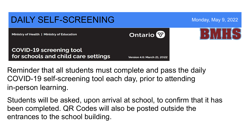

Reminder that all students must complete and pass the daily COVID-19 self-screening tool each day, prior to attending in-person learning.

Students will be asked, upon arrival at school, to confirm that it has been completed. QR Codes will also be posted outside the entrances to the school building.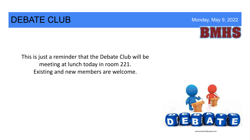#### DEBATE CLUB Monday, May 9, 2022



This is just a reminder that the Debate Club will be meeting at lunch today in room 221. Existing and new members are welcome.



photocredit:phillipsprep.com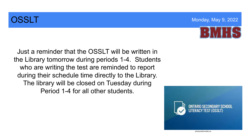

Just a reminder that the OSSLT will be written in the Library tomorrow during periods 1-4. Students who are writing the test are reminded to report during their schedule time directly to the Library. The library will be closed on Tuesday during Period 1-4 for all other students.



photocredit:wrdsb.ca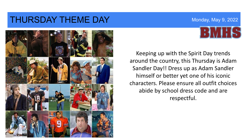#### THURSDAY THEME DAY Monday, May 9, 2022





 abide by school dress code and are Keeping up with the Spirit Day trends around the country, this Thursday is Adam Sandler Day!! Dress up as Adam Sandler himself or better yet one of his iconic characters. Please ensure all outfit choices respectful.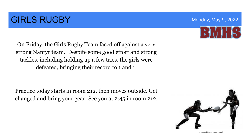## **GIRLS RUGBY Monday, May 9, 2022**

On Friday, the Girls Rugby Team faced off against a very strong Nantyr team. Despite some good effort and strong tackles, including holding up a few tries, the girls were defeated, bringing their record to 1 and 1.

 Practice today starts in room 212, then moves outside. Get changed and bring your gear! See you at 2:45 in room 212.





photocredit:the printnews.co.uk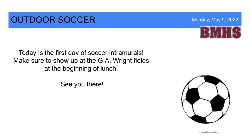### **OUTDOOR SOCCER** Monday, May 9, 2022

Today is the first day of soccer intramurals! Make sure to show up at the G.A. Wright fields at the beginning of lunch.

See you there!



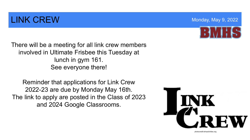## **LINK CREW Monday, May 9, 2022**

There will be a meeting for all link crew members involved in Ultimate Frisbee this Tuesday at lunch in gym 161. See everyone there!

Reminder that applications for Link Crew 2022-23 are due by Monday May 16th. The link to apply are posted in the Class of 2023 and 2024 Google Classrooms.







photocredit:whsactivities.org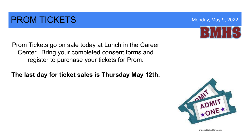### **PROM TICKETS Monday, May 9, 2022**

Prom Tickets go on sale today at Lunch in the Career Center. Bring your completed consent forms and register to purchase your tickets for Prom.

**The last day for ticket sales is Thursday May 12th.** 





photocredit:clipart-library.com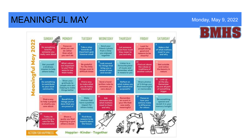#### MEANINGFUL MAY **Manufacture Control Manufacture Control Manufacture Control Monday**, May 9, 2022

MONDAY SUNDAY TUESDAY WEDNESDAY THURSDAY FRIDAY SATURDAY 202 **Focus on** Send your Look for Do something Take a step Let someone **Make a list** what you can friend a photo people doing kind for towards on inow how much of what matters do rather from a time good and someone you important goal they mean to most to you than what you enjoyed reasons to be š eally care about however small and why you and why you can't do together cheerful Ź  $\frac{11}{2}$  Look around What values Listen to a **Be grateful** Set yourself Find out obout Get outside are important for things that favourite piece a kindness for the little the values or and notice eaningful to you? Find bring you a of music and mission to help things, even in traditions of the beauty in remember what ways to use sense of awe others today difficult times another culture noture. it means to you them today and wonder 15 19 21 Look up Show your Do something Find a way Send a hand-**Reflect on** Share photos at the sky. gratitude to: to contribute to make what what makes you of 3 things you written note to Remember people who are to your local you do today feel valued and find meaningful someone you we are all part helping to make or memoroble community meaningful care about purposeful of something things better bigger 23 25 **Make** Ask Remember Focus on: **Recall three** Do something Find a way chaices that someone else on event in how your to help a project things you've special and have a positive what matters your life that actions make or charity you done that you revisit it in your impact for a difference most to them was really care about are proud of memory tonight others today meaningful for others and why **Today do** Share a Find three something to quote you find reasons to be care for the inspiring to give hopeful about natural world others a boost the future Happier · Kinder · Together **ACTION FOR HAPPINESS**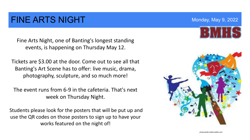#### FINE ARTS NIGHT MONDAY AND Monday, May 9, 2022

Fine Arts Night, one of Banting's longest standing events, is happening on Thursday May 12.

Tickets are \$3.00 at the door. Come out to see all that Banting's Art Scene has to offer: live music, drama, photography, sculpture, and so much more!

The event runs from 6-9 in the cafeteria. That's next week on Thursday Night.

Students please look for the posters that will be put up and use the QR codes on those posters to sign up to have your works featured on the night of!



photocredit:mobile.twitter.com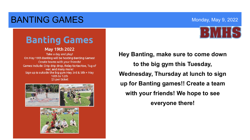#### BANTING GAMES **Monday, May 9, 2022**



## **Banting Games**

#### **May 19th 2022**

Take a day and play! On May 19th Banting will be hosting Banting Games! Create teams with your friends! Games Include: Drip drip drop, Relay tic-tac-toe, Tug of war, and many more! Sign up is outside the big gym May 3rd & 5th + May 10th to 12th \$5 per ticket





 **with your friends! We hope to see Hey Banting, make sure to come down to the big gym this Tuesday, Wednesday, Thursday at lunch to sign up for Banting games!! Create a team everyone there!**